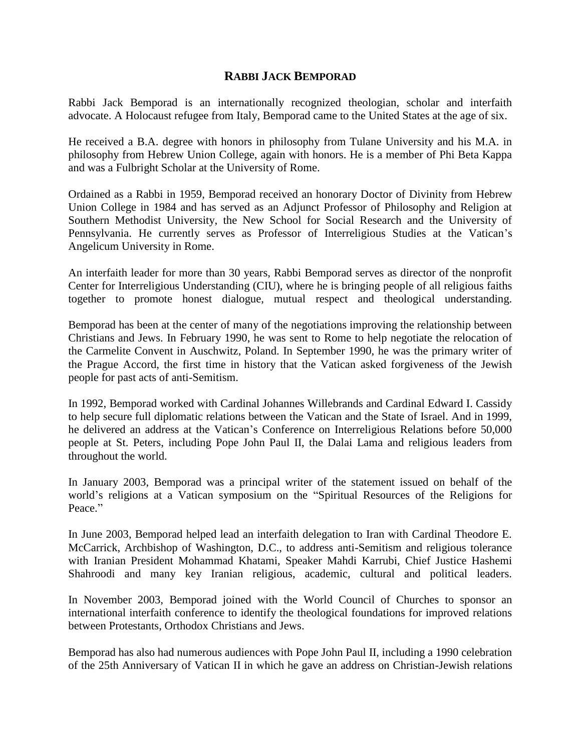## **RABBI JACK BEMPORAD**

Rabbi Jack Bemporad is an internationally recognized theologian, scholar and interfaith advocate. A Holocaust refugee from Italy, Bemporad came to the United States at the age of six.

He received a B.A. degree with honors in philosophy from Tulane University and his M.A. in philosophy from Hebrew Union College, again with honors. He is a member of Phi Beta Kappa and was a Fulbright Scholar at the University of Rome.

Ordained as a Rabbi in 1959, Bemporad received an honorary Doctor of Divinity from Hebrew Union College in 1984 and has served as an Adjunct Professor of Philosophy and Religion at Southern Methodist University, the New School for Social Research and the University of Pennsylvania. He currently serves as Professor of Interreligious Studies at the Vatican's Angelicum University in Rome.

An interfaith leader for more than 30 years, Rabbi Bemporad serves as director of the nonprofit [Center for Interreligious Understanding \(CIU\),](http://www.faithindialogue.org/) where he is bringing people of all religious faiths together to promote honest dialogue, mutual respect and theological understanding.

Bemporad has been at the center of many of the negotiations improving the relationship between Christians and Jews. In February 1990, he was sent to Rome to help negotiate the relocation of the Carmelite Convent in Auschwitz, Poland. In September 1990, he was the primary writer of the Prague Accord, the first time in history that the Vatican asked forgiveness of the Jewish people for past acts of anti-Semitism.

In 1992, Bemporad worked with Cardinal Johannes Willebrands and Cardinal Edward I. Cassidy to help secure full diplomatic relations between the Vatican and the State of Israel. And in 1999, he delivered an address at the Vatican's Conference on Interreligious Relations before 50,000 people at St. Peters, including Pope John Paul II, the Dalai Lama and religious leaders from throughout the world.

In January 2003, Bemporad was a principal writer of the statement issued on behalf of the world's religions at a Vatican symposium on the "Spiritual Resources of the Religions for Peace."

In June 2003, Bemporad helped lead an interfaith delegation to Iran with Cardinal Theodore E. McCarrick, Archbishop of Washington, D.C., to address anti-Semitism and religious tolerance with Iranian President Mohammad Khatami, Speaker Mahdi Karrubi, Chief Justice Hashemi Shahroodi and many key Iranian religious, academic, cultural and political leaders.

In November 2003, Bemporad joined with the World Council of Churches to sponsor an international interfaith conference to identify the theological foundations for improved relations between Protestants, Orthodox Christians and Jews.

Bemporad has also had numerous audiences with Pope John Paul II, including a 1990 celebration of the 25th Anniversary of Vatican II in which he gave an address on Christian-Jewish relations